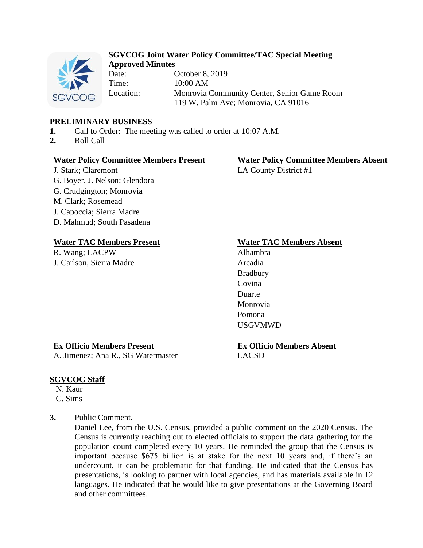

# **SGVCOG Joint Water Policy Committee/TAC Special Meeting Approved Minutes**

Date: October 8, 2019 Time: 10:00 AM Location: Monrovia Community Center, Senior Game Room 119 W. Palm Ave; Monrovia, CA 91016

## **PRELIMINARY BUSINESS**

- **1.** Call to Order: The meeting was called to order at 10:07 A.M.
- **2.** Roll Call

#### **Water Policy Committee Members Present Water Policy Committee Members Absent**

J. Stark; Claremont LA County District #1 G. Boyer, J. Nelson; Glendora G. Crudgington; Monrovia M. Clark; Rosemead J. Capoccia; Sierra Madre D. Mahmud; South Pasadena

# **Water TAC Members Present Water TAC Members Absent**

R. Wang; LACPW Alhambra J. Carlson, Sierra Madre Arcadia

Bradbury Covina Duarte Monrovia Pomona USGVMWD

## **Ex Officio Members Present**

A. Jimenez; Ana R., SG Watermaster

#### **Ex Officio Members Absent** LACSD

## **SGVCOG Staff**

N. Kaur C. Sims

**3.** Public Comment.

Daniel Lee, from the U.S. Census, provided a public comment on the 2020 Census. The Census is currently reaching out to elected officials to support the data gathering for the population count completed every 10 years. He reminded the group that the Census is important because \$675 billion is at stake for the next 10 years and, if there's an undercount, it can be problematic for that funding. He indicated that the Census has presentations, is looking to partner with local agencies, and has materials available in 12 languages. He indicated that he would like to give presentations at the Governing Board and other committees.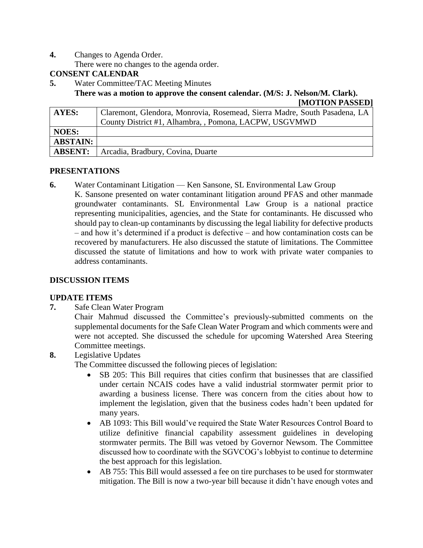**4.** Changes to Agenda Order.

There were no changes to the agenda order.

## **CONSENT CALENDAR**

**5.** Water Committee/TAC Meeting Minutes

**There was a motion to approve the consent calendar. (M/S: J. Nelson/M. Clark).**

| [MOTION PASSED] |  |
|-----------------|--|
|-----------------|--|

| AYES:           | Claremont, Glendora, Monrovia, Rosemead, Sierra Madre, South Pasadena, LA |  |
|-----------------|---------------------------------------------------------------------------|--|
|                 | County District #1, Alhambra, , Pomona, LACPW, USGVMWD                    |  |
| <b>NOES:</b>    |                                                                           |  |
| <b>ABSTAIN:</b> |                                                                           |  |
| <b>ABSENT:</b>  | Arcadia, Bradbury, Covina, Duarte                                         |  |

#### **PRESENTATIONS**

**6.** Water Contaminant Litigation — Ken Sansone, SL Environmental Law Group K. Sansone presented on water contaminant litigation around PFAS and other manmade groundwater contaminants. SL Environmental Law Group is a national practice representing municipalities, agencies, and the State for contaminants. He discussed who should pay to clean-up contaminants by discussing the legal liability for defective products – and how it's determined if a product is defective – and how contamination costs can be recovered by manufacturers. He also discussed the statute of limitations. The Committee discussed the statute of limitations and how to work with private water companies to address contaminants.

## **DISCUSSION ITEMS**

## **UPDATE ITEMS**

**7.** Safe Clean Water Program

Chair Mahmud discussed the Committee's previously-submitted comments on the supplemental documents for the Safe Clean Water Program and which comments were and were not accepted. She discussed the schedule for upcoming Watershed Area Steering Committee meetings.

**8.** Legislative Updates

The Committee discussed the following pieces of legislation:

- SB 205: This Bill requires that cities confirm that businesses that are classified under certain NCAIS codes have a valid industrial stormwater permit prior to awarding a business license. There was concern from the cities about how to implement the legislation, given that the business codes hadn't been updated for many years.
- AB 1093: This Bill would've required the State Water Resources Control Board to utilize definitive financial capability assessment guidelines in developing stormwater permits. The Bill was vetoed by Governor Newsom. The Committee discussed how to coordinate with the SGVCOG's lobbyist to continue to determine the best approach for this legislation.
- AB 755: This Bill would assessed a fee on tire purchases to be used for stormwater mitigation. The Bill is now a two-year bill because it didn't have enough votes and